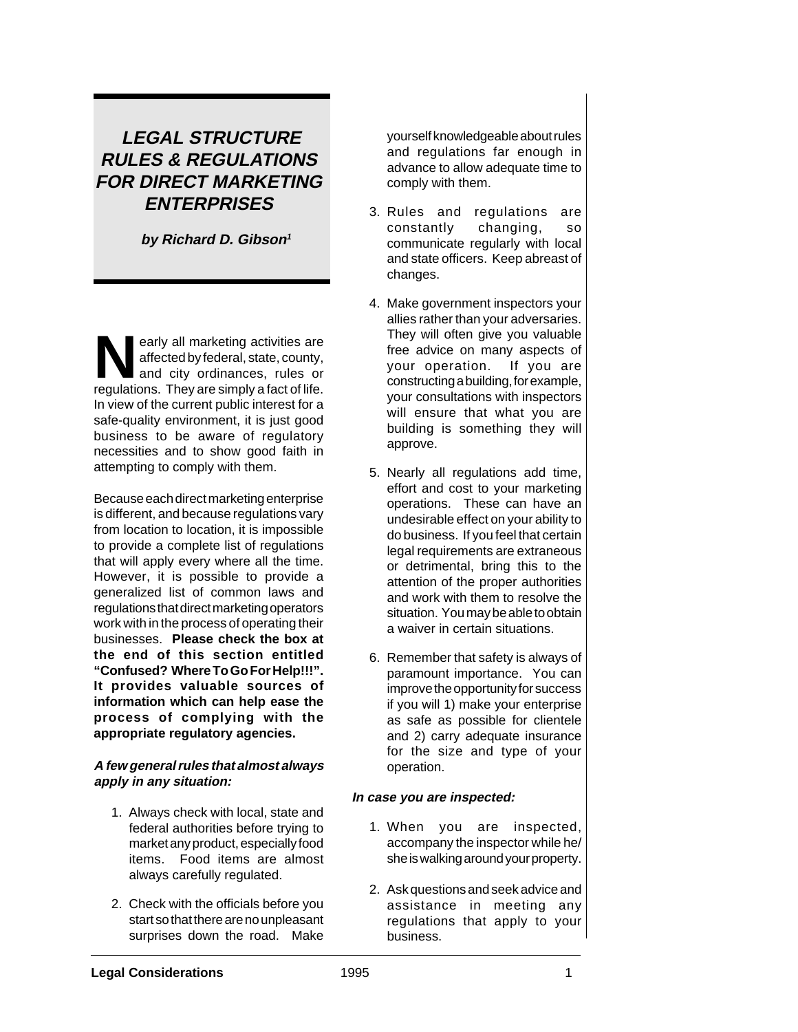# **LEGAL STRUCTURE RULES & REGULATIONS FOR DIRECT MARKETING ENTERPRISES**

**by Richard D. Gibson<sup>1</sup>**

early all marketing activities are<br>affected by federal, state, county,<br>and city ordinances, rules or<br>requisitions. They are simply a fact of life affected by federal, state, county, and city ordinances, rules or regulations. They are simply a fact of life. In view of the current public interest for a safe-quality environment, it is just good business to be aware of regulatory necessities and to show good faith in attempting to comply with them.

Because each direct marketing enterprise is different, and because regulations vary from location to location, it is impossible to provide a complete list of regulations that will apply every where all the time. However, it is possible to provide a generalized list of common laws and regulations that direct marketing operators work with in the process of operating their businesses. **Please check the box at the end of this section entitled "Confused? Where To Go For Help!!!". It provides valuable sources of information which can help ease the process of complying with the appropriate regulatory agencies.**

#### **A few general rules that almost always apply in any situation:**

- 1. Always check with local, state and federal authorities before trying to market any product, especially food items. Food items are almost always carefully regulated.
- 2. Check with the officials before you start so that there are no unpleasant surprises down the road. Make

yourself knowledgeable about rules and regulations far enough in advance to allow adequate time to comply with them.

- 3. Rules and regulations are constantly changing, so communicate regularly with local and state officers. Keep abreast of changes.
- 4. Make government inspectors your allies rather than your adversaries. They will often give you valuable free advice on many aspects of your operation. If you are constructing a building, for example, your consultations with inspectors will ensure that what you are building is something they will approve.
- 5. Nearly all regulations add time, effort and cost to your marketing operations. These can have an undesirable effect on your ability to do business. If you feel that certain legal requirements are extraneous or detrimental, bring this to the attention of the proper authorities and work with them to resolve the situation. You may be able to obtain a waiver in certain situations.
- 6. Remember that safety is always of paramount importance. You can improve the opportunity for success if you will 1) make your enterprise as safe as possible for clientele and 2) carry adequate insurance for the size and type of your operation.

### **In case you are inspected:**

- 1. When you are inspected, accompany the inspector while he/ she is walking around your property.
- 2. Ask questions and seek advice and assistance in meeting any regulations that apply to your business.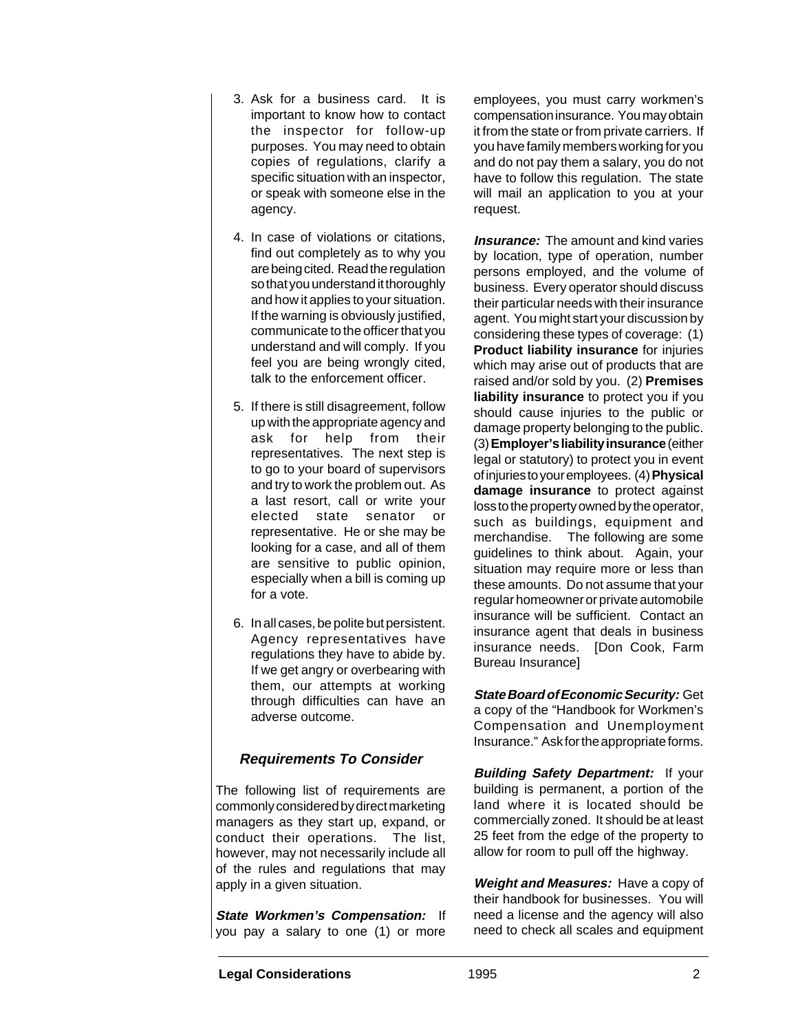- 3. Ask for a business card. It is important to know how to contact the inspector for follow-up purposes. You may need to obtain copies of regulations, clarify a specific situation with an inspector, or speak with someone else in the agency.
- 4. In case of violations or citations, find out completely as to why you are being cited. Read the regulation so that you understand it thoroughly and how it applies to your situation. If the warning is obviously justified, communicate to the officer that you understand and will comply. If you feel you are being wrongly cited, talk to the enforcement officer.
- 5. If there is still disagreement, follow up with the appropriate agency and ask for help from their representatives. The next step is to go to your board of supervisors and try to work the problem out. As a last resort, call or write your elected state senator or representative. He or she may be looking for a case, and all of them are sensitive to public opinion, especially when a bill is coming up for a vote.
- 6. In all cases, be polite but persistent. Agency representatives have regulations they have to abide by. If we get angry or overbearing with them, our attempts at working through difficulties can have an adverse outcome.

## **Requirements To Consider**

The following list of requirements are commonly considered by direct marketing managers as they start up, expand, or conduct their operations. The list, however, may not necessarily include all of the rules and regulations that may apply in a given situation.

**State Workmen's Compensation:** If you pay a salary to one (1) or more

employees, you must carry workmen's compensation insurance. You may obtain it from the state or from private carriers. If you have family members working for you and do not pay them a salary, you do not have to follow this regulation. The state will mail an application to you at your request.

**Insurance:** The amount and kind varies by location, type of operation, number persons employed, and the volume of business. Every operator should discuss their particular needs with their insurance agent. You might start your discussion by considering these types of coverage: (1) **Product liability insurance** for injuries which may arise out of products that are raised and/or sold by you. (2) **Premises liability insurance** to protect you if you should cause injuries to the public or damage property belonging to the public. (3) **Employer's liability insurance** (either legal or statutory) to protect you in event of injuries to your employees. (4) **Physical damage insurance** to protect against loss to the property owned by the operator, such as buildings, equipment and merchandise. The following are some guidelines to think about. Again, your situation may require more or less than these amounts. Do not assume that your regular homeowner or private automobile insurance will be sufficient. Contact an insurance agent that deals in business insurance needs. [Don Cook, Farm Bureau Insurance]

**State Board of Economic Security:** Get a copy of the "Handbook for Workmen's Compensation and Unemployment Insurance." Ask for the appropriate forms.

**Building Safety Department:** If your building is permanent, a portion of the land where it is located should be commercially zoned. It should be at least 25 feet from the edge of the property to allow for room to pull off the highway.

**Weight and Measures:** Have a copy of their handbook for businesses. You will need a license and the agency will also need to check all scales and equipment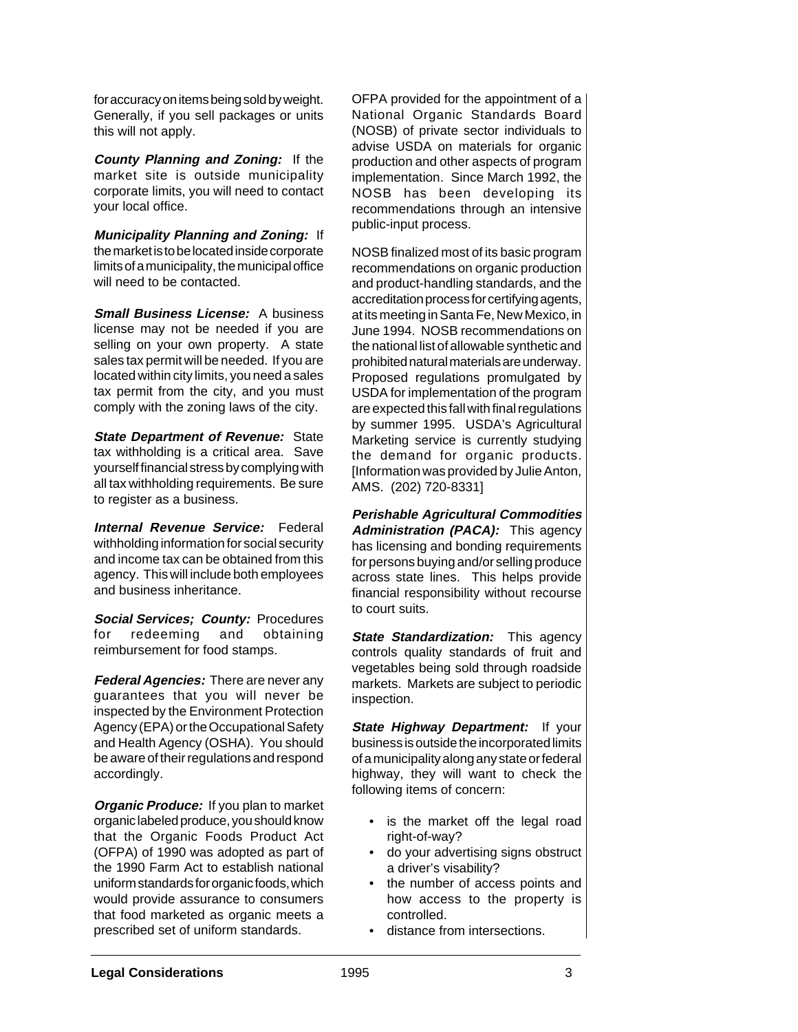for accuracy on items being sold by weight. Generally, if you sell packages or units this will not apply.

**County Planning and Zoning:** If the market site is outside municipality corporate limits, you will need to contact your local office.

**Municipality Planning and Zoning:** If the market is to be located inside corporate limits of a municipality, the municipal office will need to be contacted.

**Small Business License:** A business license may not be needed if you are selling on your own property. A state sales tax permit will be needed. If you are located within city limits, you need a sales tax permit from the city, and you must comply with the zoning laws of the city.

**State Department of Revenue: State** tax withholding is a critical area. Save yourself financial stress by complying with all tax withholding requirements. Be sure to register as a business.

**Internal Revenue Service:** Federal withholding information for social security and income tax can be obtained from this agency. This will include both employees and business inheritance.

**Social Services; County:** Procedures for redeeming and obtaining reimbursement for food stamps.

**Federal Agencies:** There are never any guarantees that you will never be inspected by the Environment Protection Agency (EPA) or the Occupational Safety and Health Agency (OSHA). You should be aware of their regulations and respond accordingly.

**Organic Produce:** If you plan to market organic labeled produce, you should know that the Organic Foods Product Act (OFPA) of 1990 was adopted as part of the 1990 Farm Act to establish national uniform standards for organic foods, which would provide assurance to consumers that food marketed as organic meets a prescribed set of uniform standards.

OFPA provided for the appointment of a National Organic Standards Board (NOSB) of private sector individuals to advise USDA on materials for organic production and other aspects of program implementation. Since March 1992, the NOSB has been developing its recommendations through an intensive public-input process.

NOSB finalized most of its basic program recommendations on organic production and product-handling standards, and the accreditation process for certifying agents, at its meeting in Santa Fe, New Mexico, in June 1994. NOSB recommendations on the national list of allowable synthetic and prohibited natural materials are underway. Proposed regulations promulgated by USDA for implementation of the program are expected this fall with final regulations by summer 1995. USDA's Agricultural Marketing service is currently studying the demand for organic products. [Information was provided by Julie Anton, AMS. (202) 720-8331]

**Perishable Agricultural Commodities** Administration (PACA): This agency has licensing and bonding requirements for persons buying and/or selling produce across state lines. This helps provide financial responsibility without recourse to court suits.

**State Standardization:** This agency controls quality standards of fruit and vegetables being sold through roadside markets. Markets are subject to periodic inspection.

**State Highway Department:** If your business is outside the incorporated limits of a municipality along any state or federal highway, they will want to check the following items of concern:

- is the market off the legal road right-of-way?
- do your advertising signs obstruct a driver's visability?
- the number of access points and how access to the property is controlled.
- distance from intersections.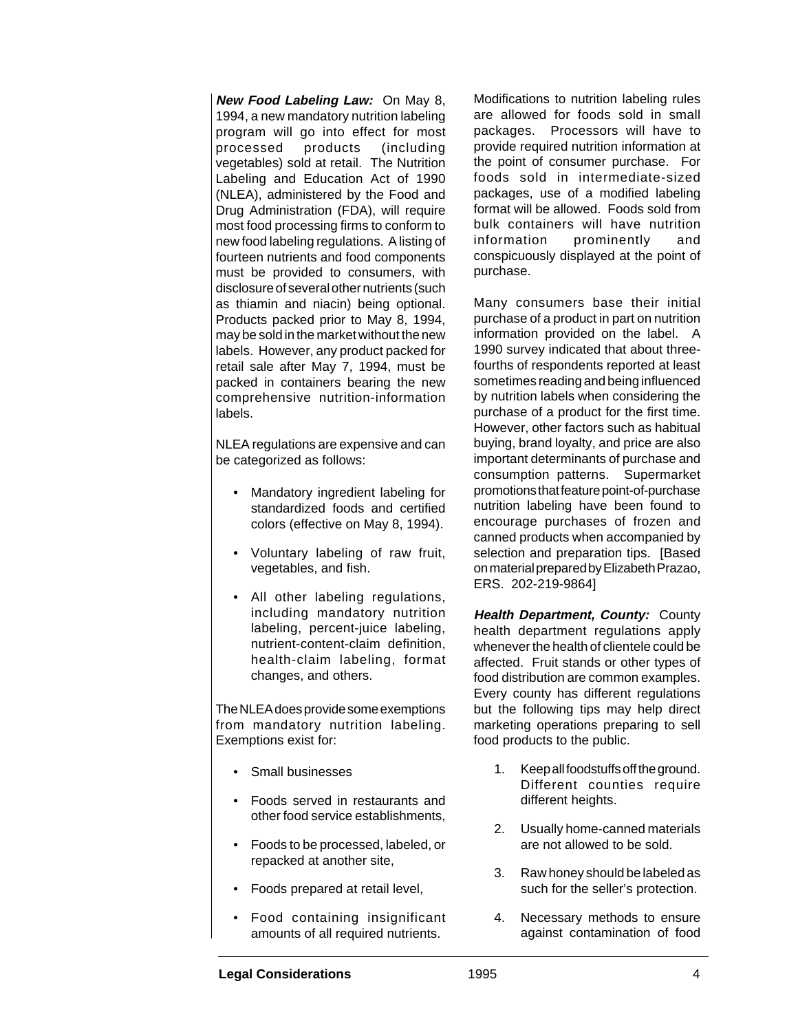**New Food Labeling Law:** On May 8, 1994, a new mandatory nutrition labeling program will go into effect for most processed products (including vegetables) sold at retail. The Nutrition Labeling and Education Act of 1990 (NLEA), administered by the Food and Drug Administration (FDA), will require most food processing firms to conform to new food labeling regulations. A listing of fourteen nutrients and food components must be provided to consumers, with disclosure of several other nutrients (such as thiamin and niacin) being optional. Products packed prior to May 8, 1994, may be sold in the market without the new labels. However, any product packed for retail sale after May 7, 1994, must be packed in containers bearing the new comprehensive nutrition-information labels.

NLEA regulations are expensive and can be categorized as follows:

- Mandatory ingredient labeling for standardized foods and certified colors (effective on May 8, 1994).
- Voluntary labeling of raw fruit, vegetables, and fish.
- All other labeling regulations, including mandatory nutrition labeling, percent-juice labeling, nutrient-content-claim definition, health-claim labeling, format changes, and others.

The NLEA does provide some exemptions from mandatory nutrition labeling. Exemptions exist for:

- Small businesses
- Foods served in restaurants and other food service establishments,
- Foods to be processed, labeled, or repacked at another site,
- Foods prepared at retail level,
- Food containing insignificant amounts of all required nutrients.

Modifications to nutrition labeling rules are allowed for foods sold in small packages. Processors will have to provide required nutrition information at the point of consumer purchase. For foods sold in intermediate-sized packages, use of a modified labeling format will be allowed. Foods sold from bulk containers will have nutrition information prominently and conspicuously displayed at the point of purchase.

Many consumers base their initial purchase of a product in part on nutrition information provided on the label. A 1990 survey indicated that about threefourths of respondents reported at least sometimes reading and being influenced by nutrition labels when considering the purchase of a product for the first time. However, other factors such as habitual buying, brand loyalty, and price are also important determinants of purchase and consumption patterns. Supermarket promotions that feature point-of-purchase nutrition labeling have been found to encourage purchases of frozen and canned products when accompanied by selection and preparation tips. [Based on material prepared by Elizabeth Prazao, ERS. 202-219-9864]

**Health Department, County: County** health department regulations apply whenever the health of clientele could be affected. Fruit stands or other types of food distribution are common examples. Every county has different regulations but the following tips may help direct marketing operations preparing to sell food products to the public.

- 1. Keep all foodstuffs off the ground. Different counties require different heights.
- 2. Usually home-canned materials are not allowed to be sold.
- 3. Raw honey should be labeled as such for the seller's protection.
- 4. Necessary methods to ensure against contamination of food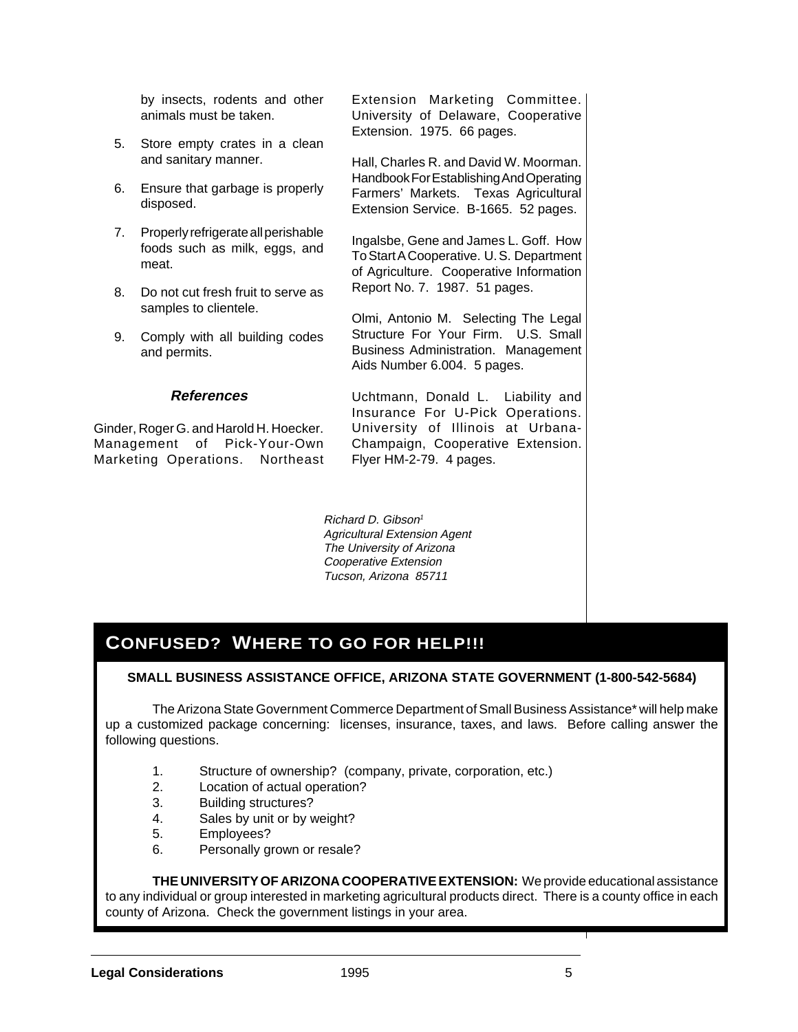by insects, rodents and other animals must be taken.

- 5. Store empty crates in a clean and sanitary manner.
- 6. Ensure that garbage is properly disposed.
- 7. Properly refrigerate all perishable foods such as milk, eggs, and meat.
- 8. Do not cut fresh fruit to serve as samples to clientele.
- 9. Comply with all building codes and permits.

### **References**

Ginder, Roger G. and Harold H. Hoecker. Management of Pick-Your-Own Marketing Operations. Northeast Extension Marketing Committee. University of Delaware, Cooperative Extension. 1975. 66 pages.

Hall, Charles R. and David W. Moorman. Handbook For Establishing And Operating Farmers' Markets. Texas Agricultural Extension Service. B-1665. 52 pages.

Ingalsbe, Gene and James L. Goff. How To Start A Cooperative. U. S. Department of Agriculture. Cooperative Information Report No. 7. 1987. 51 pages.

Olmi, Antonio M. Selecting The Legal Structure For Your Firm. U.S. Small Business Administration. Management Aids Number 6.004. 5 pages.

Uchtmann, Donald L. Liability and Insurance For U-Pick Operations. University of Illinois at Urbana-Champaign, Cooperative Extension. Flyer HM-2-79. 4 pages.

Richard D. Gibson<sup>1</sup> Agricultural Extension Agent The University of Arizona Cooperative Extension Tucson, Arizona 85711

# **CONFUSED? WHERE TO GO FOR HELP!!!**

### **SMALL BUSINESS ASSISTANCE OFFICE, ARIZONA STATE GOVERNMENT (1-800-542-5684)**

The Arizona State Government Commerce Department of Small Business Assistance\* will help make up a customized package concerning: licenses, insurance, taxes, and laws. Before calling answer the following questions.

- 1. Structure of ownership? (company, private, corporation, etc.)
- 2. Location of actual operation?
- 3. Building structures?
- 4. Sales by unit or by weight?
- 5. Employees?
- 6. Personally grown or resale?

**THE UNIVERSITY OF ARIZONA COOPERATIVE EXTENSION:** We provide educational assistance to any individual or group interested in marketing agricultural products direct. There is a county office in each county of Arizona. Check the government listings in your area.